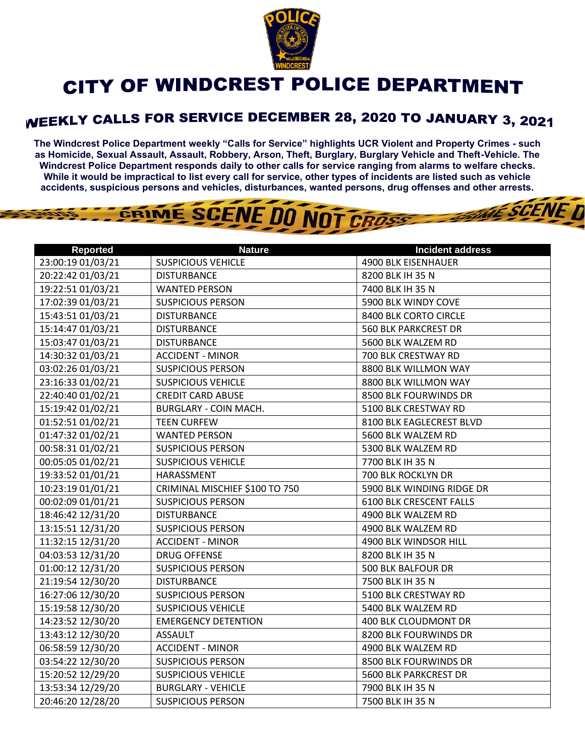

## **CITY OF WINDCREST POLICE DEPARTMENT**

## WEEKLY CALLS FOR SERVICE DECEMBER 28, 2020 TO JANUARY 3, 2021

**The Windcrest Police Department weekly "Calls for Service" highlights UCR Violent and Property Crimes - such as Homicide, Sexual Assault, Assault, Robbery, Arson, Theft, Burglary, Burglary Vehicle and Theft-Vehicle. The Windcrest Police Department responds daily to other calls for service ranging from alarms to welfare checks. While it would be impractical to list every call for service, other types of incidents are listed such as vehicle accidents, suspicious persons and vehicles, disturbances, wanted persons, drug offenses and other arrests.** 

**THE SCENE D** 



| <b>Reported</b>   | <b>Nature</b>                  | <b>Incident address</b>        |
|-------------------|--------------------------------|--------------------------------|
| 23:00:19 01/03/21 | <b>SUSPICIOUS VEHICLE</b>      | 4900 BLK EISENHAUER            |
| 20:22:42 01/03/21 | <b>DISTURBANCE</b>             | 8200 BLK IH 35 N               |
| 19:22:51 01/03/21 | <b>WANTED PERSON</b>           | 7400 BLK IH 35 N               |
| 17:02:39 01/03/21 | <b>SUSPICIOUS PERSON</b>       | 5900 BLK WINDY COVE            |
| 15:43:51 01/03/21 | <b>DISTURBANCE</b>             | 8400 BLK CORTO CIRCLE          |
| 15:14:47 01/03/21 | <b>DISTURBANCE</b>             | <b>560 BLK PARKCREST DR</b>    |
| 15:03:47 01/03/21 | <b>DISTURBANCE</b>             | 5600 BLK WALZEM RD             |
| 14:30:32 01/03/21 | <b>ACCIDENT - MINOR</b>        | 700 BLK CRESTWAY RD            |
| 03:02:26 01/03/21 | <b>SUSPICIOUS PERSON</b>       | 8800 BLK WILLMON WAY           |
| 23:16:33 01/02/21 | <b>SUSPICIOUS VEHICLE</b>      | 8800 BLK WILLMON WAY           |
| 22:40:40 01/02/21 | <b>CREDIT CARD ABUSE</b>       | 8500 BLK FOURWINDS DR          |
| 15:19:42 01/02/21 | <b>BURGLARY - COIN MACH.</b>   | 5100 BLK CRESTWAY RD           |
| 01:52:51 01/02/21 | <b>TEEN CURFEW</b>             | 8100 BLK EAGLECREST BLVD       |
| 01:47:32 01/02/21 | <b>WANTED PERSON</b>           | 5600 BLK WALZEM RD             |
| 00:58:31 01/02/21 | <b>SUSPICIOUS PERSON</b>       | 5300 BLK WALZEM RD             |
| 00:05:05 01/02/21 | <b>SUSPICIOUS VEHICLE</b>      | 7700 BLK IH 35 N               |
| 19:33:52 01/01/21 | HARASSMENT                     | 700 BLK ROCKLYN DR             |
| 10:23:19 01/01/21 | CRIMINAL MISCHIEF \$100 TO 750 | 5900 BLK WINDING RIDGE DR      |
| 00:02:09 01/01/21 | <b>SUSPICIOUS PERSON</b>       | <b>6100 BLK CRESCENT FALLS</b> |
| 18:46:42 12/31/20 | <b>DISTURBANCE</b>             | 4900 BLK WALZEM RD             |
| 13:15:51 12/31/20 | <b>SUSPICIOUS PERSON</b>       | 4900 BLK WALZEM RD             |
| 11:32:15 12/31/20 | <b>ACCIDENT - MINOR</b>        | 4900 BLK WINDSOR HILL          |
| 04:03:53 12/31/20 | <b>DRUG OFFENSE</b>            | 8200 BLK IH 35 N               |
| 01:00:12 12/31/20 | <b>SUSPICIOUS PERSON</b>       | 500 BLK BALFOUR DR             |
| 21:19:54 12/30/20 | <b>DISTURBANCE</b>             | 7500 BLK IH 35 N               |
| 16:27:06 12/30/20 | <b>SUSPICIOUS PERSON</b>       | 5100 BLK CRESTWAY RD           |
| 15:19:58 12/30/20 | <b>SUSPICIOUS VEHICLE</b>      | 5400 BLK WALZEM RD             |
| 14:23:52 12/30/20 | <b>EMERGENCY DETENTION</b>     | 400 BLK CLOUDMONT DR           |
| 13:43:12 12/30/20 | <b>ASSAULT</b>                 | 8200 BLK FOURWINDS DR          |
| 06:58:59 12/30/20 | <b>ACCIDENT - MINOR</b>        | 4900 BLK WALZEM RD             |
| 03:54:22 12/30/20 | <b>SUSPICIOUS PERSON</b>       | 8500 BLK FOURWINDS DR          |
| 15:20:52 12/29/20 | <b>SUSPICIOUS VEHICLE</b>      | <b>5600 BLK PARKCREST DR</b>   |
| 13:53:34 12/29/20 | <b>BURGLARY - VEHICLE</b>      | 7900 BLK IH 35 N               |
| 20:46:20 12/28/20 | <b>SUSPICIOUS PERSON</b>       | 7500 BLK IH 35 N               |